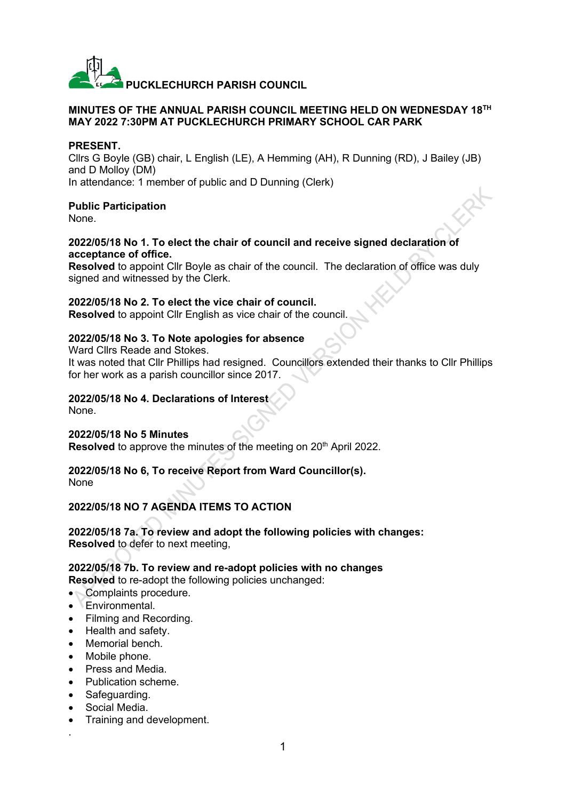

#### **MINUTES OF THE ANNUAL PARISH COUNCIL MEETING HELD ON WEDNESDAY 18TH MAY 2022 7:30PM AT PUCKLECHURCH PRIMARY SCHOOL CAR PARK**

#### **PRESENT.**

Cllrs G Boyle (GB) chair, L English (LE), A Hemming (AH), R Dunning (RD), J Bailey (JB) and D Molloy (DM) In attendance: 1 member of public and D Dunning (Clerk)

#### **Public Participation**

None.

#### **2022/05/18 No 1. To elect the chair of council and receive signed declaration of acceptance of office.**

**Resolved** to appoint Cllr Boyle as chair of the council. The declaration of office was duly signed and witnessed by the Clerk.

#### **2022/05/18 No 2. To elect the vice chair of council.**

**Resolved** to appoint Cllr English as vice chair of the council.

# **2022/05/18 No 3. To Note apologies for absence**

Ward Cllrs Reade and Stokes.

It was noted that Cllr Phillips had resigned. Councillors extended their thanks to Cllr Phillips for her work as a parish councillor since 2017.

# **2022/05/18 No 4. Declarations of Interest**

None.

# **2022/05/18 No 5 Minutes**

**Resolved** to approve the minutes of the meeting on 20<sup>th</sup> April 2022.

# **2022/05/18 No 6, To receive Report from Ward Councillor(s).**

None

# **2022/05/18 NO 7 AGENDA ITEMS TO ACTION**

**2022/05/18 7a. To review and adopt the following policies with changes: Resolved** to defer to next meeting,

**2022/05/18 7b. To review and re-adopt policies with no changes Resolved** to re-adopt the following policies unchanged:

- Complaints procedure.
- Environmental.
- Filming and Recording.
- Health and safety.
- Memorial bench.
- Mobile phone.
- Press and Media.
- Publication scheme.
- Safeguarding.
- Social Media.

.

• Training and development.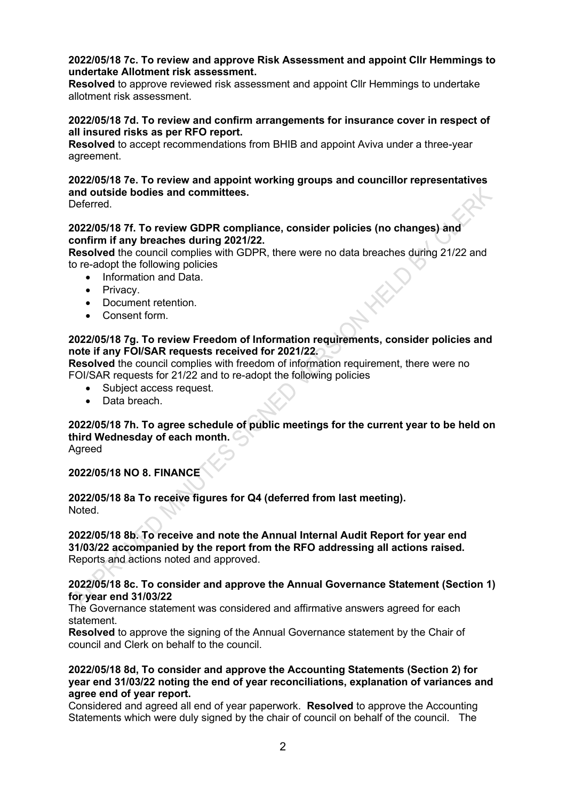#### **2022/05/18 7c. To review and approve Risk Assessment and appoint Cllr Hemmings to undertake Allotment risk assessment.**

**Resolved** to approve reviewed risk assessment and appoint Cllr Hemmings to undertake allotment risk assessment.

#### **2022/05/18 7d. To review and confirm arrangements for insurance cover in respect of all insured risks as per RFO report.**

**Resolved** to accept recommendations from BHIB and appoint Aviva under a three-year agreement.

# **2022/05/18 7e. To review and appoint working groups and councillor representatives and outside bodies and committees.**

**Deferred** 

# **2022/05/18 7f. To review GDPR compliance, consider policies (no changes) and confirm if any breaches during 2021/22.**

**Resolved** the council complies with GDPR, there were no data breaches during 21/22 and to re-adopt the following policies

- Information and Data.
- Privacy.
- Document retention.
- Consent form.

# **2022/05/18 7g. To review Freedom of Information requirements, consider policies and note if any FOI/SAR requests received for 2021/22.**

**Resolved** the council complies with freedom of information requirement, there were no FOI/SAR requests for 21/22 and to re-adopt the following policies

- Subject access request.
- Data breach.

#### **2022/05/18 7h. To agree schedule of public meetings for the current year to be held on third Wednesday of each month.**

Agreed

# **2022/05/18 NO 8. FINANCE**

**2022/05/18 8a To receive figures for Q4 (deferred from last meeting). Noted** 

#### **2022/05/18 8b. To receive and note the Annual Internal Audit Report for year end 31/03/22 accompanied by the report from the RFO addressing all actions raised.** Reports and actions noted and approved.

#### **2022/05/18 8c. To consider and approve the Annual Governance Statement (Section 1) for year end 31/03/22**

The Governance statement was considered and affirmative answers agreed for each statement.

**Resolved** to approve the signing of the Annual Governance statement by the Chair of council and Clerk on behalf to the council.

# **2022/05/18 8d, To consider and approve the Accounting Statements (Section 2) for year end 31/03/22 noting the end of year reconciliations, explanation of variances and agree end of year report.**

Considered and agreed all end of year paperwork. **Resolved** to approve the Accounting Statements which were duly signed by the chair of council on behalf of the council. The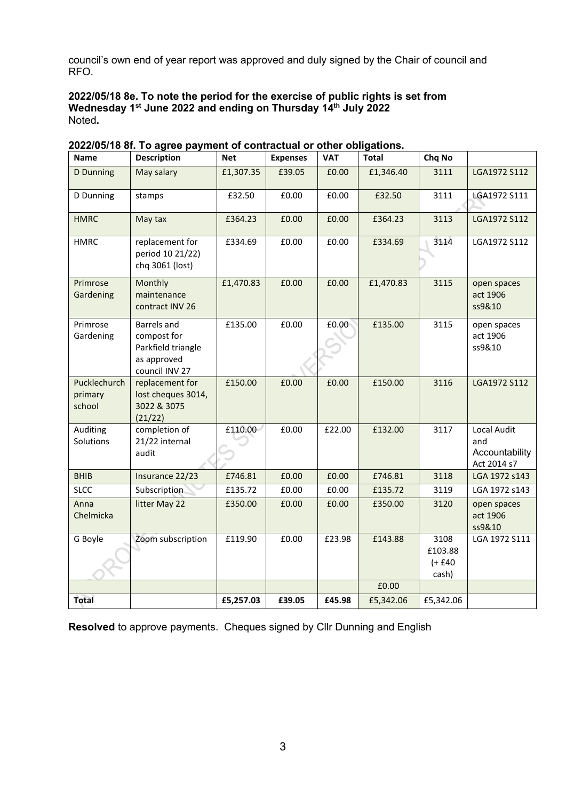council's own end of year report was approved and duly signed by the Chair of council and RFO.

# **2022/05/18 8e. To note the period for the exercise of public rights is set from Wednesday 1st June 2022 and ending on Thursday 14th July 2022** Noted**.**

| Name                              | <b>Description</b>                                                                | <b>Net</b> | <b>Expenses</b> | <b>VAT</b> | <b>Total</b> | Chq No                                |                                                     |
|-----------------------------------|-----------------------------------------------------------------------------------|------------|-----------------|------------|--------------|---------------------------------------|-----------------------------------------------------|
| D Dunning                         | May salary                                                                        | £1,307.35  | £39.05          | £0.00      | £1,346.40    | 3111                                  | LGA1972 S112                                        |
| D Dunning                         | stamps                                                                            | £32.50     | £0.00           | £0.00      | £32.50       | 3111                                  | LGA1972 S111                                        |
| <b>HMRC</b>                       | May tax                                                                           | £364.23    | £0.00           | £0.00      | £364.23      | 3113                                  | LGA1972 S112                                        |
| <b>HMRC</b>                       | replacement for<br>period 10 21/22)<br>chq 3061 (lost)                            | £334.69    | £0.00           | £0.00      | £334.69      | 3114                                  | LGA1972 S112                                        |
| Primrose<br>Gardening             | Monthly<br>maintenance<br>contract INV 26                                         | £1,470.83  | £0.00           | £0.00      | £1,470.83    | 3115                                  | open spaces<br>act 1906<br>ss9&10                   |
| Primrose<br>Gardening             | Barrels and<br>compost for<br>Parkfield triangle<br>as approved<br>council INV 27 | £135.00    | £0.00           | £0.00      | £135.00      | 3115                                  | open spaces<br>act 1906<br>ss9&10                   |
| Pucklechurch<br>primary<br>school | replacement for<br>lost cheques 3014,<br>3022 & 3075<br>(21/22)                   | £150.00    | £0.00           | £0.00      | £150.00      | 3116                                  | LGA1972 S112                                        |
| Auditing<br>Solutions             | completion of<br>21/22 internal<br>audit                                          | £110.00    | £0.00           | £22.00     | £132.00      | 3117                                  | Local Audit<br>and<br>Accountability<br>Act 2014 s7 |
| <b>BHIB</b>                       | Insurance 22/23                                                                   | £746.81    | £0.00           | £0.00      | £746.81      | 3118                                  | LGA 1972 s143                                       |
| <b>SLCC</b>                       | Subscription                                                                      | £135.72    | £0.00           | £0.00      | £135.72      | 3119                                  | LGA 1972 s143                                       |
| Anna<br>Chelmicka                 | litter May 22                                                                     | £350.00    | £0.00           | £0.00      | £350.00      | 3120                                  | open spaces<br>act 1906<br>ss9&10                   |
| G Boyle                           | Zoom subscription                                                                 | £119.90    | £0.00           | £23.98     | £143.88      | 3108<br>£103.88<br>$(+ 640)$<br>cash) | LGA 1972 S111                                       |
|                                   |                                                                                   |            |                 |            | £0.00        |                                       |                                                     |
| Total                             |                                                                                   | £5,257.03  | £39.05          | £45.98     | £5,342.06    | £5,342.06                             |                                                     |

**2022/05/18 8f. To agree payment of contractual or other obligations.**

**Resolved** to approve payments. Cheques signed by Cllr Dunning and English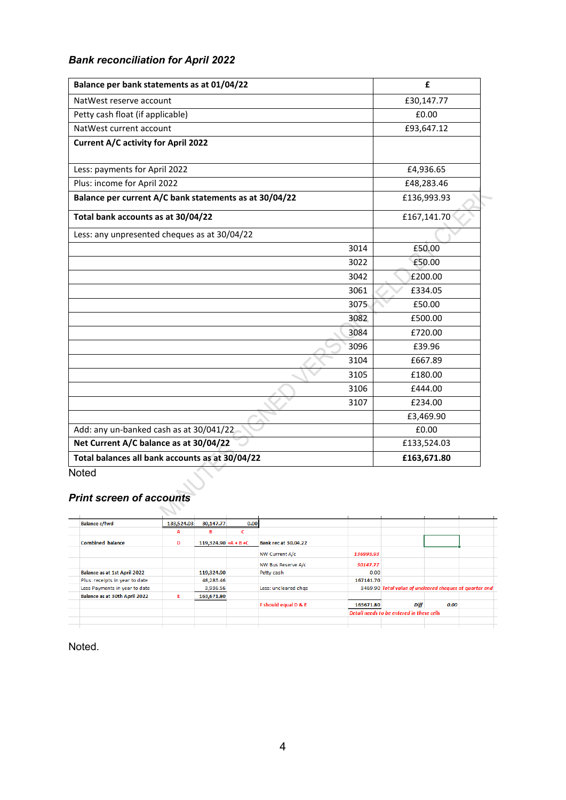# *Bank reconciliation for April 2022*

| Balance per bank statements as at 01/04/22             | £           |
|--------------------------------------------------------|-------------|
| NatWest reserve account                                | £30,147.77  |
| Petty cash float (if applicable)                       | £0.00       |
| NatWest current account                                | £93,647.12  |
| Current A/C activity for April 2022                    |             |
| Less: payments for April 2022                          | £4,936.65   |
| Plus: income for April 2022                            | £48,283.46  |
| Balance per current A/C bank statements as at 30/04/22 | £136,993.93 |
| Total bank accounts as at 30/04/22                     | £167,141.70 |
| Less: any unpresented cheques as at 30/04/22           |             |
| 3014                                                   | £50.00      |
| 3022                                                   | £50.00      |
| 3042                                                   | £200.00     |
| 3061                                                   | £334.05     |
| 3075                                                   | £50.00      |
| 3082                                                   | £500.00     |
| 3084                                                   | £720.00     |
| 3096                                                   | £39.96      |
| 3104                                                   | £667.89     |
| 3105                                                   | £180.00     |
| 3106                                                   | £444.00     |
| 3107                                                   | £234.00     |
|                                                        | £3,469.90   |
| Add: any un-banked cash as at 30/041/22                | £0.00       |
| Net Current A/C balance as at 30/04/22                 | £133,524.03 |
| Total balances all bank accounts as at 30/04/22        | £163,671.80 |

**Noted** 

# *Print screen of accounts*

 $\mathcal{L}_{\text{max}}$ 

| <b>Balance c/fwd</b>                 | 133,524.03 | 30,147.77              | 0.00 |                             |                                           |                                                         |      |  |
|--------------------------------------|------------|------------------------|------|-----------------------------|-------------------------------------------|---------------------------------------------------------|------|--|
|                                      | А          | в                      | c    |                             |                                           |                                                         |      |  |
| <b>Combined balance</b>              | D          | 119,324.90 = A + B + C |      | <b>Bank rec at 30.04.22</b> |                                           |                                                         |      |  |
|                                      |            |                        |      | NW Current A/c              | 136993.93                                 |                                                         |      |  |
|                                      |            |                        |      | NW Bus Reserve A/c          | 30147.77                                  |                                                         |      |  |
| Balance as at 1st April 2022         |            | 119,324.90             |      | Petty cash                  | 0.00                                      |                                                         |      |  |
| Plus: receipts in year to date       |            | 48,283.46              |      |                             | 167141.70                                 |                                                         |      |  |
| Less Payments in year to date        |            | 3,936.56               |      | Less: uncleared chgs        |                                           | 3469.90 Total value of uncleared cheques at quarter end |      |  |
| <b>Balance as at 30th April 2022</b> | E.         | 163,671.80             |      |                             |                                           |                                                         |      |  |
|                                      |            |                        |      | F should equal D & E        | 163671.80                                 | <b>Diff</b>                                             | 0.00 |  |
|                                      |            |                        |      |                             | Detail needs to be entered in these cells |                                                         |      |  |
|                                      |            |                        |      |                             |                                           |                                                         |      |  |
|                                      |            |                        |      |                             |                                           |                                                         |      |  |

Noted.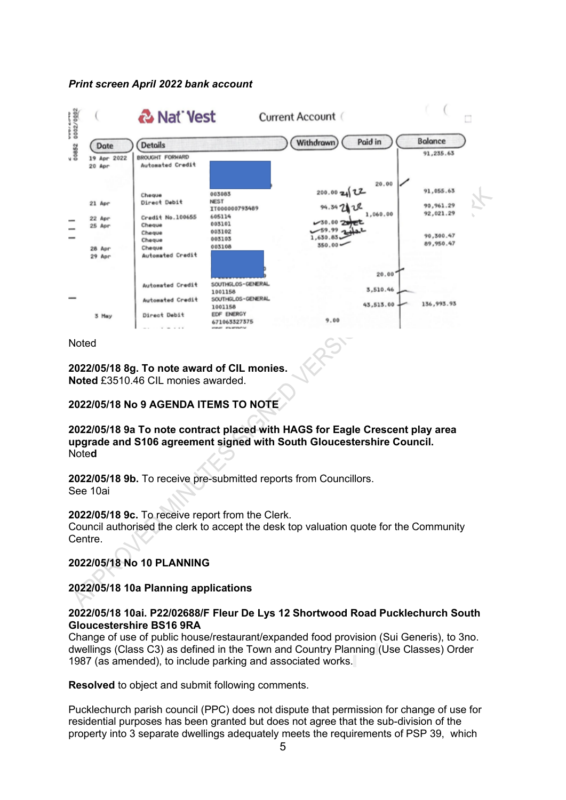#### *Print screen April 2022 bank account*



#### Noted

**2022/05/18 8g. To note award of CIL monies. Noted** £3510.46 CIL monies awarded.

# **2022/05/18 No 9 AGENDA ITEMS TO NOTE**

**2022/05/18 9a To note contract placed with HAGS for Eagle Crescent play area upgrade and S106 agreement signed with South Gloucestershire Council.** Note**d**

**2022/05/18 9b.** To receive pre-submitted reports from Councillors. See 10ai

#### **2022/05/18 9c.** To receive report from the Clerk.

Council authorised the clerk to accept the desk top valuation quote for the Community Centre.

# **2022/05/18 No 10 PLANNING**

# **2022/05/18 10a Planning applications**

# **2022/05/18 10ai. P22/02688/F Fleur De Lys 12 Shortwood Road Pucklechurch South Gloucestershire BS16 9RA**

Change of use of public house/restaurant/expanded food provision (Sui Generis), to 3no. dwellings (Class C3) as defined in the Town and Country Planning (Use Classes) Order 1987 (as amended), to include parking and associated works.

# **Resolved** to object and submit following comments.

Pucklechurch parish council (PPC) does not dispute that permission for change of use for residential purposes has been granted but does not agree that the sub-division of the property into 3 separate dwellings adequately meets the requirements of PSP 39, which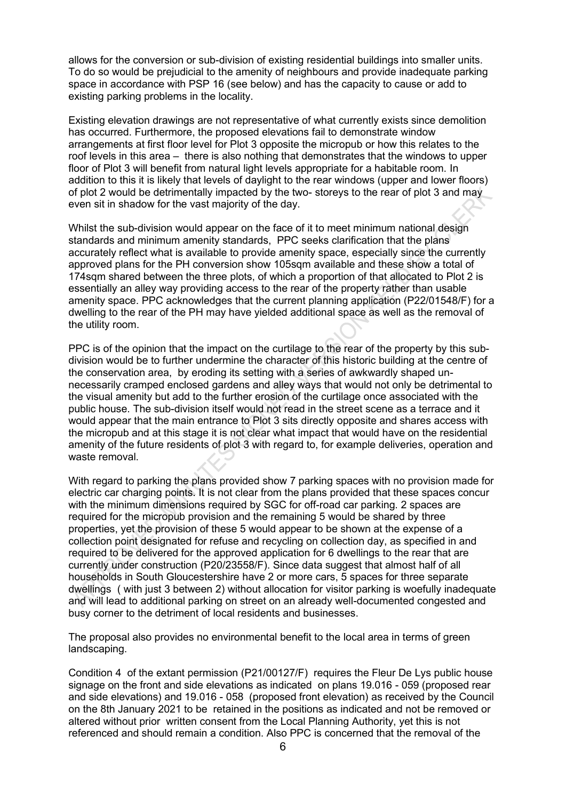allows for the conversion or sub-division of existing residential buildings into smaller units. To do so would be prejudicial to the amenity of neighbours and provide inadequate parking space in accordance with PSP 16 (see below) and has the capacity to cause or add to existing parking problems in the locality.

Existing elevation drawings are not representative of what currently exists since demolition has occurred. Furthermore, the proposed elevations fail to demonstrate window arrangements at first floor level for Plot 3 opposite the micropub or how this relates to the roof levels in this area – there is also nothing that demonstrates that the windows to upper floor of Plot 3 will benefit from natural light levels appropriate for a habitable room. In addition to this it is likely that levels of daylight to the rear windows (upper and lower floors) of plot 2 would be detrimentally impacted by the two- storeys to the rear of plot 3 and may even sit in shadow for the vast majority of the day.

Whilst the sub-division would appear on the face of it to meet minimum national design standards and minimum amenity standards, PPC seeks clarification that the plans accurately reflect what is available to provide amenity space, especially since the currently approved plans for the PH conversion show 105sqm available and these show a total of 174sqm shared between the three plots, of which a proportion of that allocated to Plot 2 is essentially an alley way providing access to the rear of the property rather than usable amenity space. PPC acknowledges that the current planning application (P22/01548/F) for a dwelling to the rear of the PH may have yielded additional space as well as the removal of the utility room.

PPC is of the opinion that the impact on the curtilage to the rear of the property by this subdivision would be to further undermine the character of this historic building at the centre of the conservation area, by eroding its setting with a series of awkwardly shaped unnecessarily cramped enclosed gardens and alley ways that would not only be detrimental to the visual amenity but add to the further erosion of the curtilage once associated with the public house. The sub-division itself would not read in the street scene as a terrace and it would appear that the main entrance to Plot 3 sits directly opposite and shares access with the micropub and at this stage it is not clear what impact that would have on the residential amenity of the future residents of plot 3 with regard to, for example deliveries, operation and waste removal.

With regard to parking the plans provided show 7 parking spaces with no provision made for electric car charging points. It is not clear from the plans provided that these spaces concur with the minimum dimensions required by SGC for off-road car parking. 2 spaces are required for the micropub provision and the remaining 5 would be shared by three properties, yet the provision of these 5 would appear to be shown at the expense of a collection point designated for refuse and recycling on collection day, as specified in and required to be delivered for the approved application for 6 dwellings to the rear that are currently under construction (P20/23558/F). Since data suggest that almost half of all households in South Gloucestershire have 2 or more cars, 5 spaces for three separate dwellings ( with just 3 between 2) without allocation for visitor parking is woefully inadequate and will lead to additional parking on street on an already well-documented congested and busy corner to the detriment of local residents and businesses.

The proposal also provides no environmental benefit to the local area in terms of green landscaping.

Condition 4 of the extant permission (P21/00127/F) requires the Fleur De Lys public house signage on the front and side elevations as indicated on plans 19.016 - 059 (proposed rear and side elevations) and 19.016 - 058 (proposed front elevation) as received by the Council on the 8th January 2021 to be retained in the positions as indicated and not be removed or altered without prior written consent from the Local Planning Authority, yet this is not referenced and should remain a condition. Also PPC is concerned that the removal of the